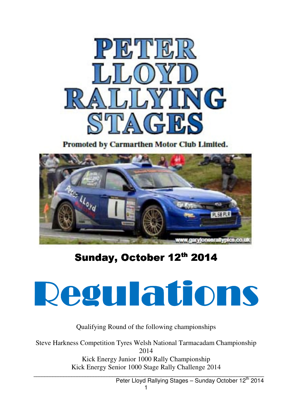

Promoted by Carmarthen Motor Club Limited.



# Sunday, October 12<sup>th</sup> 2014



Qualifying Round of the following championships

Steve Harkness Competition Tyres Welsh National Tarmacadam Championship 2014 Kick Energy Junior 1000 Rally Championship Kick Energy Senior 1000 Stage Rally Challenge 2014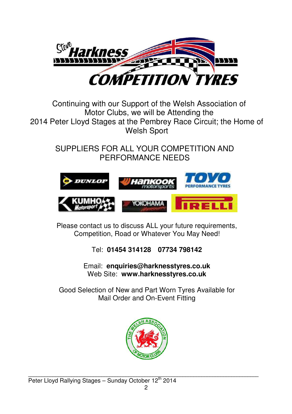

### Continuing with our Support of the Welsh Association of Motor Clubs, we will be Attending the 2014 Peter Lloyd Stages at the Pembrey Race Circuit; the Home of Welsh Sport

SUPPLIERS FOR ALL YOUR COMPETITION AND PERFORMANCE NEEDS



Please contact us to discuss ALL your future requirements, Competition, Road or Whatever You May Need!

Tel: **01454 314128 07734 798142** 

Email: **enquiries@harknesstyres.co.uk**  Web Site: **www.harknesstyres.co.uk** 

Good Selection of New and Part Worn Tyres Available for Mail Order and On-Event Fitting

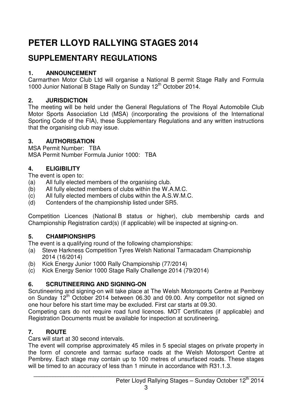## **PETER LLOYD RALLYING STAGES 2014**

## **SUPPLEMENTARY REGULATIONS**

#### **1. ANNOUNCEMENT**

Carmarthen Motor Club Ltd will organise a National B permit Stage Rally and Formula 1000 Junior National B Stage Rally on Sunday 12<sup>th</sup> October 2014.

#### **2. JURISDICTION**

The meeting will be held under the General Regulations of The Royal Automobile Club Motor Sports Association Ltd (MSA) (incorporating the provisions of the International Sporting Code of the FIA), these Supplementary Regulations and any written instructions that the organising club may issue.

#### **3. AUTHORISATION**

MSA Permit Number: TBA MSA Permit Number Formula Junior 1000: TBA

#### **4. ELIGIBILITY**

The event is open to:

- (a) All fully elected members of the organising club.
- (b) All fully elected members of clubs within the W.A.M.C.
- (c) All fully elected members of clubs within the A.S.W.M.C.
- (d) Contenders of the championship listed under SR5.

Competition Licences (National B status or higher), club membership cards and Championship Registration card(s) (if applicable) will be inspected at signing-on.

#### **5. CHAMPIONSHIPS**

The event is a qualifying round of the following championships:

- (a) Steve Harkness Competition Tyres Welsh National Tarmacadam Championship 2014 (16/2014)
- (b) Kick Energy Junior 1000 Rally Championship (77/2014)
- (c) Kick Energy Senior 1000 Stage Rally Challenge 2014 (79/2014)

#### **6. SCRUTINEERING AND SIGNING-ON**

Scrutineering and signing-on will take place at The Welsh Motorsports Centre at Pembrey on Sunday  $12<sup>th</sup>$  October 2014 between 06.30 and 09.00. Any competitor not signed on one hour before his start time may be excluded. First car starts at 09.30.

Competing cars do not require road fund licences. MOT Certificates (if applicable) and Registration Documents must be available for inspection at scrutineering.

#### **7. ROUTE**

Cars will start at 30 second intervals.

The event will comprise approximately 45 miles in 5 special stages on private property in the form of concrete and tarmac surface roads at the Welsh Motorsport Centre at Pembrey. Each stage may contain up to 100 metres of unsurfaced roads. These stages will be timed to an accuracy of less than 1 minute in accordance with R31.1.3.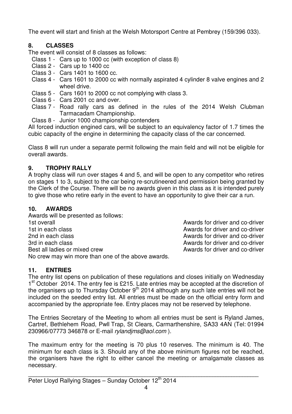The event will start and finish at the Welsh Motorsport Centre at Pembrey (159/396 033).

#### **8. CLASSES**

The event will consist of 8 classes as follows:

- Class 1 Cars up to 1000 cc (with exception of class 8)
- Class 2 Cars up to 1400 cc
- Class 3 Cars 1401 to 1600 cc.
- Class 4 Cars 1601 to 2000 cc with normally aspirated 4 cylinder 8 valve engines and 2 wheel drive.
- Class 5 Cars 1601 to 2000 cc not complying with class 3.
- Class 6 Cars 2001 cc and over.
- Class 7 Road rally cars as defined in the rules of the 2014 Welsh Clubman Tarmacadam Championship.
- Class 8 Junior 1000 championship contenders

All forced induction engined cars, will be subject to an equivalency factor of 1.7 times the cubic capacity of the engine in determining the capacity class of the car concerned.

Class 8 will run under a separate permit following the main field and will not be eligible for overall awards.

#### **9. TROPHY RALLY**

A trophy class will run over stages 4 and 5, and will be open to any competitor who retires on stages 1 to 3, subject to the car being re-scrutineered and permission being granted by the Clerk of the Course. There will be no awards given in this class as it is intended purely to give those who retire early in the event to have an opportunity to give their car a run.

#### **10. AWARDS**

Awards will be presented as follows: 1st overall Awards for driver and co-driver 1st in each class **Awards** for driver and co-driver 2nd in each class **Awards for driver and co-driver** 2nd in each class Awards for driver and co-driver 3rd in each class **Awards** for driver and co-driver Best all ladies or mixed crew Awards for driver and co-driver No crew may win more than one of the above awards.

#### **11. ENTRIES**

The entry list opens on publication of these regulations and closes initially on Wednesday 1<sup>st</sup> October 2014. The entry fee is £215. Late entries may be accepted at the discretion of the organisers up to Thursday October 9<sup>th</sup> 2014 although any such late entries will not be included on the seeded entry list. All entries must be made on the official entry form and accompanied by the appropriate fee. Entry places may not be reserved by telephone.

The Entries Secretary of the Meeting to whom all entries must be sent is Ryland James, Cartref, Bethlehem Road, Pwll Trap, St Clears, Carmarthenshire, SA33 4AN (Tel: 01994 230966/07773 346878 or E-mail rylandjms@aol.com ).

The maximum entry for the meeting is 70 plus 10 reserves. The minimum is 40. The minimum for each class is 3. Should any of the above minimum figures not be reached, the organisers have the right to either cancel the meeting or amalgamate classes as necessary.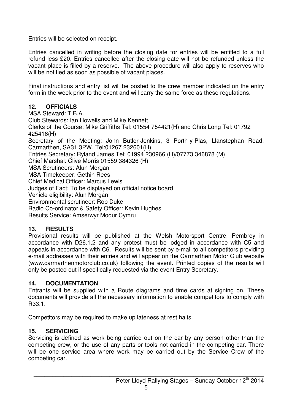Entries will be selected on receipt.

Entries cancelled in writing before the closing date for entries will be entitled to a full refund less £20. Entries cancelled after the closing date will not be refunded unless the vacant place is filled by a reserve. The above procedure will also apply to reserves who will be notified as soon as possible of vacant places.

Final instructions and entry list will be posted to the crew member indicated on the entry form in the week prior to the event and will carry the same force as these regulations.

#### **12. OFFICIALS**

MSA Steward: T.B.A. Club Stewards: Ian Howells and Mike Kennett Clerks of the Course: Mike Griffiths Tel: 01554 754421(H) and Chris Long Tel: 01792 425416(H) Secretary of the Meeting: John Butler-Jenkins, 3 Porth-y-Plas, Llanstephan Road, Carmarthen, SA31 3PW. Tel:01267 232601(H) Entries Secretary: Ryland James Tel: 01994 230966 (H)/07773 346878 (M) Chief Marshal: Clive Morris 01559 384326 (H) MSA Scrutineers: Alun Morgan MSA Timekeeper: Gethin Rees Chief Medical Officer: Marcus Lewis Judges of Fact: To be displayed on official notice board Vehicle eligibility: Alun Morgan Environmental scrutineer: Rob Duke Radio Co-ordinator & Safety Officer: Kevin Hughes Results Service: Amserwyr Modur Cymru

#### **13. RESULTS**

Provisional results will be published at the Welsh Motorsport Centre, Pembrey in accordance with D26.1.2 and any protest must be lodged in accordance with C5 and appeals in accordance with C6. Results will be sent by e-mail to all competitors providing e-mail addresses with their entries and will appear on the Carmarthen Motor Club website (www.carmarthenmotorclub.co.uk) following the event. Printed copies of the results will only be posted out if specifically requested via the event Entry Secretary.

#### **14. DOCUMENTATION**

Entrants will be supplied with a Route diagrams and time cards at signing on. These documents will provide all the necessary information to enable competitors to comply with R33.1.

Competitors may be required to make up lateness at rest halts.

#### **15. SERVICING**

Servicing is defined as work being carried out on the car by any person other than the competing crew, or the use of any parts or tools not carried in the competing car. There will be one service area where work may be carried out by the Service Crew of the competing car.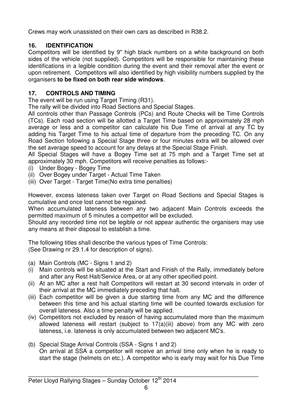Crews may work unassisted on their own cars as described in R38.2.

#### **16. IDENTIFICATION**

Competitors will be identified by 9" high black numbers on a white background on both sides of the vehicle (not supplied). Competitors will be responsible for maintaining these identifications in a legible condition during the event and their removal after the event or upon retirement. Competitors will also identified by high visibility numbers supplied by the organisers **to be fixed on both rear side windows**.

#### **17. CONTROLS AND TIMING**

The event will be run using Target Timing (R31).

The rally will be divided into Road Sections and Special Stages.

All controls other than Passage Controls (PCs) and Route Checks will be Time Controls (TCs). Each road section will be allotted a Target Time based on approximately 28 mph average or less and a competitor can calculate his Due Time of arrival at any TC by adding his Target Time to his actual time of departure from the preceding TC. On any Road Section following a Special Stage three or four minutes extra will be allowed over the set average speed to account for any delays at the Special Stage Finish.

All Special Stages will have a Bogey Time set at 75 mph and a Target Time set at approximately 30 mph. Competitors will receive penalties as follows:-

- (i) Under Bogey Bogey Time
- (ii) Over Bogey under Target Actual Time Taken
- (iii) Over Target Target Time(No extra time penalties)

However, excess lateness taken over Target on Road Sections and Special Stages is cumulative and once lost cannot be regained.

When accumulated lateness between any two adjacent Main Controls exceeds the permitted maximum of 5 minutes a competitor will be excluded.

Should any recorded time not be legible or not appear authentic the organisers may use any means at their disposal to establish a time.

The following titles shall describe the various types of Time Controls: (See Drawing nr 29.1.4 for description of signs).

- (a) Main Controls (MC Signs 1 and 2)
- (i) Main controls will be situated at the Start and Finish of the Rally, immediately before and after any Rest Halt/Service Area, or at any other specified point.
- (ii) At an MC after a rest halt Competitors will restart at 30 second intervals in order of their arrival at the MC immediately preceding that halt.
- (iii) Each competitor will be given a due starting time from any MC and the difference between this time and his actual starting time will be counted towards exclusion for overall lateness. Also a time penalty will be applied.
- (iv) Competitors not excluded by reason of having accumulated more than the maximum allowed lateness will restart (subject to 17(a)(iii) above) from any MC with zero lateness, i.e. lateness is only accumulated between two adjacent MC's.
- (b) Special Stage Arrival Controls (SSA Signs 1 and 2) On arrival at SSA a competitor will receive an arrival time only when he is ready to start the stage (helmets on etc.). A competitor who is early may wait for his Due Time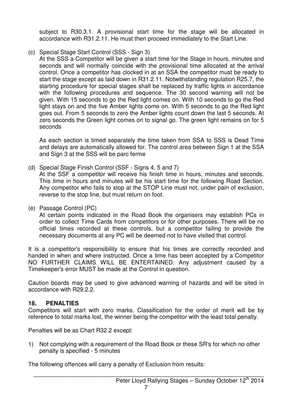subject to R30.3.1. A provisional start time for the stage will be allocated in accordance with R31.2.11. He must then proceed immediately to the Start Line.

(c) Special Stage Start Control (SSS - Sign 3)

At the SSS a Competitor will be given a start time for the Stage in hours, minutes and seconds and will normally coincide with the provisional time allocated at the arrival control. Once a competitor has clocked in at an SSA the competitor must be ready to start the stage except as laid down in R31.2.11. Notwithstanding regulation R25.7, the starting procedure for special stages shall be replaced by traffic lights in accordance with the following procedures and sequence. The 30 second warning will not be given. With 15 seconds to go the Red light comes on. With 10 seconds to go the Red light stays on and the five Amber lights come on. With 5 seconds to go the Red light goes out. From 5 seconds to zero the Amber lights count down the last 5 seconds. At zero seconds the Green light comes on to signal go. The green light remains on for 5 seconds

 As each section is timed separately the time taken from SSA to SSS is Dead Time and delays are automatically allowed for. The control area between Sign 1 at the SSA and Sign 3 at the SSS will be parc ferme

(d) Special Stage Finish Control (SSF - Signs 4, 5 and 7)

 At the SSF a competitor will receive his finish time in hours, minutes and seconds. This time in hours and minutes will be his start time for the following Road Section. Any competitor who fails to stop at the STOP Line must not, under pain of exclusion, reverse to the stop line, but must return on foot.

(e) Passage Control (PC)

 At certain points indicated in the Road Book the organisers may establish PCs in order to collect Time Cards from competitors or for other purposes. There will be no official times recorded at these controls, but a competitor failing to provide the necessary documents at any PC will be deemed not to have visited that control.

It is a competitor's responsibility to ensure that his times are correctly recorded and handed in when and where instructed. Once a time has been accepted by a Competitor NO FURTHER CLAIMS WILL BE ENTERTAINED. Any adjustment caused by a Timekeeper's error MUST be made at the Control in question.

Caution boards may be used to give advanced warning of hazards and will be sited in accordance with R29.2.2.

#### **18. PENALTIES**

Competitors will start with zero marks. Classification for the order of merit will be by reference to total marks lost, the winner being the competitor with the least total penalty.

Penalties will be as Chart R32.2 except:

1) Not complying with a requirement of the Road Book or these SR's for which no other penalty is specified - 5 minutes

The following offences will carry a penalty of Exclusion from results: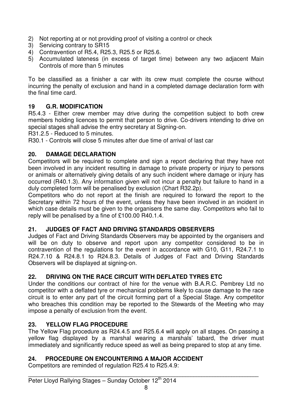- 2) Not reporting at or not providing proof of visiting a control or check
- 3) Servicing contrary to SR15
- 4) Contravention of R5.4, R25.3, R25.5 or R25.6.
- 5) Accumulated lateness (in excess of target time) between any two adjacent Main Controls of more than 5 minutes

To be classified as a finisher a car with its crew must complete the course without incurring the penalty of exclusion and hand in a completed damage declaration form with the final time card.

#### **19 G.R. MODIFICATION**

R5.4.3 - Either crew member may drive during the competition subject to both crew members holding licences to permit that person to drive. Co-drivers intending to drive on special stages shall advise the entry secretary at Signing-on.

R31.2.5 - Reduced to 5 minutes.

R30.1 - Controls will close 5 minutes after due time of arrival of last car

#### **20. DAMAGE DECLARATION**

Competitors will be required to complete and sign a report declaring that they have not been involved in any incident resulting in damage to private property or injury to persons or animals or alternatively giving details of any such incident where damage or injury has occurred (R40.1.3). Any information given will not incur a penalty but failure to hand in a duly completed form will be penalised by exclusion (Chart R32.2p).

Competitors who do not report at the finish are required to forward the report to the Secretary within 72 hours of the event, unless they have been involved in an incident in which case details must be given to the organisers the same day. Competitors who fail to reply will be penalised by a fine of £100.00 R40.1.4.

#### **21. JUDGES OF FACT AND DRIVING STANDARDS OBSERVERS**

Judges of Fact and Driving Standards Observers may be appointed by the organisers and will be on duty to observe and report upon any competitor considered to be in contravention of the regulations for the event in accordance with G10, G11, R24.7.1 to R24.7.10 & R24.8.1 to R24.8.3. Details of Judges of Fact and Driving Standards Observers will be displayed at signing-on.

#### **22. DRIVING ON THE RACE CIRCUIT WITH DEFLATED TYRES ETC**

Under the conditions our contract of hire for the venue with B.A.R.C. Pembrey Ltd no competitor with a deflated tyre or mechanical problems likely to cause damage to the race circuit is to enter any part of the circuit forming part of a Special Stage. Any competitor who breaches this condition may be reported to the Stewards of the Meeting who may impose a penalty of exclusion from the event.

#### **23. YELLOW FLAG PROCEDURE**

The Yellow Flag procedure as R24.4.5 and R25.6.4 will apply on all stages. On passing a yellow flag displayed by a marshal wearing a marshals' tabard, the driver must immediately and significantly reduce speed as well as being prepared to stop at any time.

#### **24. PROCEDURE ON ENCOUNTERING A MAJOR ACCIDENT**

Competitors are reminded of regulation R25.4 to R25.4.9: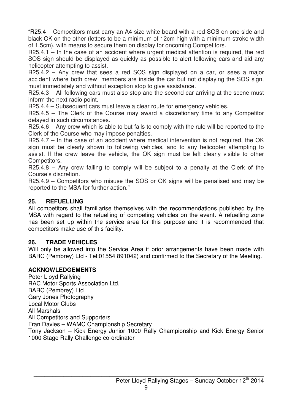"R25.4 – Competitors must carry an A4-size white board with a red SOS on one side and black OK on the other (letters to be a minimum of 12cm high with a minimum stroke width of 1.5cm), with means to secure them on display for oncoming Competitors.

R25.4.1 – In the case of an accident where urgent medical attention is required, the red SOS sign should be displayed as quickly as possible to alert following cars and aid any helicopter attempting to assist.

R25.4.2 – Any crew that sees a red SOS sign displayed on a car, or sees a major accident where both crew members are inside the car but not displaying the SOS sign, must immediately and without exception stop to give assistance.

R25.4.3 – All following cars must also stop and the second car arriving at the scene must inform the next radio point.

R25.4.4 – Subsequent cars must leave a clear route for emergency vehicles.

R25.4.5 – The Clerk of the Course may award a discretionary time to any Competitor delayed in such circumstances.

R25.4.6 – Any crew which is able to but fails to comply with the rule will be reported to the Clerk of the Course who may impose penalties.

R25.4.7 – In the case of an accident where medical intervention is not required, the OK sign must be clearly shown to following vehicles, and to any helicopter attempting to assist. If the crew leave the vehicle, the OK sign must be left clearly visible to other Competitors.

R25.4.8 – Any crew failing to comply will be subject to a penalty at the Clerk of the Course's discretion.

R25.4.9 – Competitors who misuse the SOS or OK signs will be penalised and may be reported to the MSA for further action."

#### **25. REFUELLING**

All competitors shall familiarise themselves with the recommendations published by the MSA with regard to the refuelling of competing vehicles on the event. A refuelling zone has been set up within the service area for this purpose and it is recommended that competitors make use of this facility.

#### **26. TRADE VEHICLES**

Will only be allowed into the Service Area if prior arrangements have been made with BARC (Pembrey) Ltd - Tel:01554 891042) and confirmed to the Secretary of the Meeting.

#### **ACKNOWLEDGEMENTS**

Peter Lloyd Rallying RAC Motor Sports Association Ltd. BARC (Pembrey) Ltd Gary Jones Photography Local Motor Clubs All Marshals All Competitors and Supporters Fran Davies – WAMC Championship Secretary Tony Jackson – Kick Energy Junior 1000 Rally Championship and Kick Energy Senior 1000 Stage Rally Challenge co-ordinator